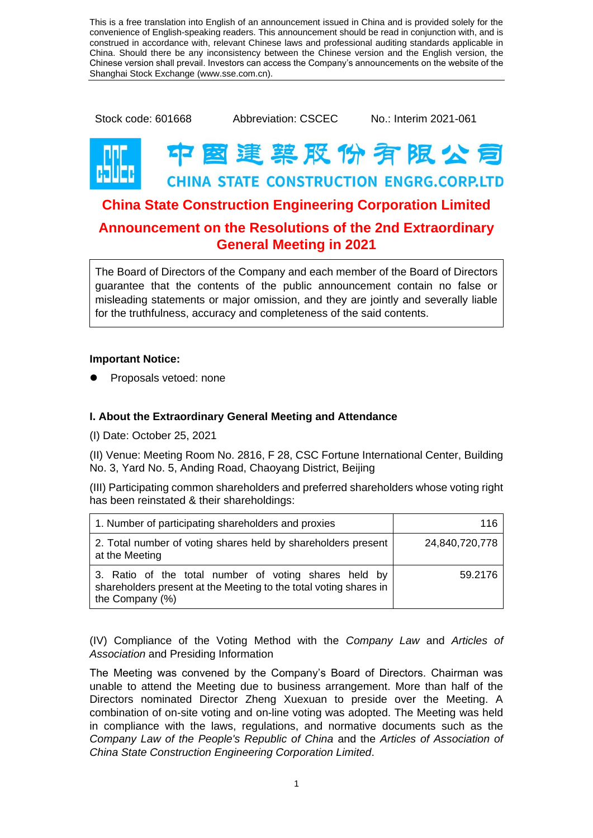This is a free translation into English of an announcement issued in China and is provided solely for the convenience of English-speaking readers. This announcement should be read in conjunction with, and is construed in accordance with, relevant Chinese laws and professional auditing standards applicable in China. Should there be any inconsistency between the Chinese version and the English version, the Chinese version shall prevail. Investors can access the Company's announcements on the website of the Shanghai Stock Exchange (www.sse.com.cn).

Stock code: 601668 Abbreviation: CSCEC No.: Interim 2021-061

# 图 建 菜 股 份 疗 限 公 司 CHINA STATE CONSTRUCTION ENGRG.CORP.LTD **China State Construction Engineering Corporation Limited**

# **Announcement on the Resolutions of the 2nd Extraordinary General Meeting in 2021**

The Board of Directors of the Company and each member of the Board of Directors guarantee that the contents of the public announcement contain no false or misleading statements or major omission, and they are jointly and severally liable for the truthfulness, accuracy and completeness of the said contents.

### **Important Notice:**

⚫ Proposals vetoed: none

## **I. About the Extraordinary General Meeting and Attendance**

(I) Date: October 25, 2021

(II) Venue: Meeting Room No. 2816, F 28, CSC Fortune International Center, Building No. 3, Yard No. 5, Anding Road, Chaoyang District, Beijing

(III) Participating common shareholders and preferred shareholders whose voting right has been reinstated & their shareholdings:

| 1. Number of participating shareholders and proxies                                                                                           | 116            |  |  |
|-----------------------------------------------------------------------------------------------------------------------------------------------|----------------|--|--|
| 2. Total number of voting shares held by shareholders present<br>at the Meeting                                                               | 24,840,720,778 |  |  |
| 3. Ratio of the total number of voting shares held by<br>shareholders present at the Meeting to the total voting shares in<br>the Company (%) | 59.2176        |  |  |

(IV) Compliance of the Voting Method with the *Company Law* and *Articles of Association* and Presiding Information

The Meeting was convened by the Company's Board of Directors. Chairman was unable to attend the Meeting due to business arrangement. More than half of the Directors nominated Director Zheng Xuexuan to preside over the Meeting. A combination of on-site voting and on-line voting was adopted. The Meeting was held in compliance with the laws, regulations, and normative documents such as the *Company Law of the People's Republic of China* and the *Articles of Association of China State Construction Engineering Corporation Limited*.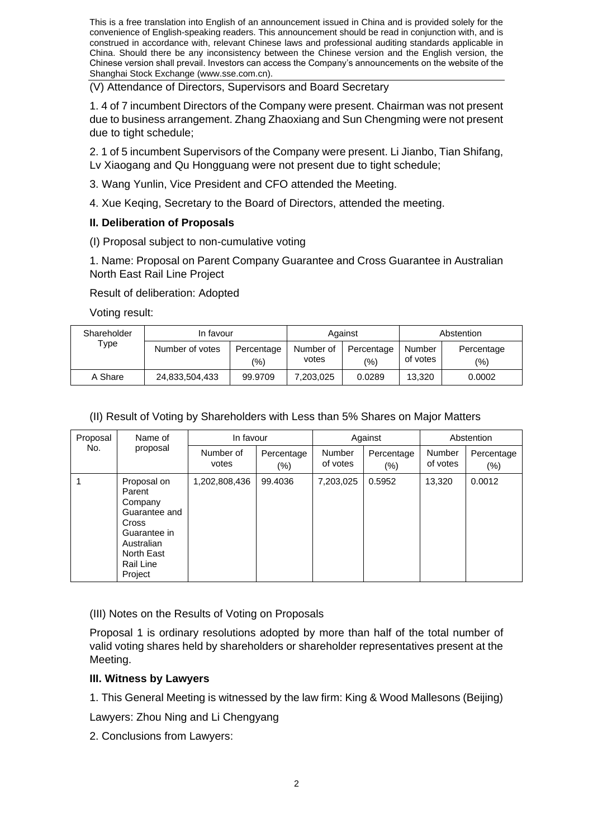This is a free translation into English of an announcement issued in China and is provided solely for the convenience of English-speaking readers. This announcement should be read in conjunction with, and is construed in accordance with, relevant Chinese laws and professional auditing standards applicable in China. Should there be any inconsistency between the Chinese version and the English version, the Chinese version shall prevail. Investors can access the Company's announcements on the website of the Shanghai Stock Exchange (www.sse.com.cn).

(V) Attendance of Directors, Supervisors and Board Secretary

1. 4 of 7 incumbent Directors of the Company were present. Chairman was not present due to business arrangement. Zhang Zhaoxiang and Sun Chengming were not present due to tight schedule;

2. 1 of 5 incumbent Supervisors of the Company were present. Li Jianbo, Tian Shifang, Lv Xiaogang and Qu Hongguang were not present due to tight schedule;

- 3. Wang Yunlin, Vice President and CFO attended the Meeting.
- 4. Xue Keqing, Secretary to the Board of Directors, attended the meeting.

#### **II. Deliberation of Proposals**

(I) Proposal subject to non-cumulative voting

1. Name: Proposal on Parent Company Guarantee and Cross Guarantee in Australian North East Rail Line Project

#### Result of deliberation: Adopted

Voting result:

| Shareholder | In favour               |                   | Against            |                   | Abstention         |                   |
|-------------|-------------------------|-------------------|--------------------|-------------------|--------------------|-------------------|
|             | Type<br>Number of votes | Percentage<br>(%) | Number of<br>votes | Percentage<br>(%) | Number<br>of votes | Percentage<br>(%) |
| A Share     | 24,833,504,433          | 99.9709           | 7,203,025          | 0.0289            | 13.320             | 0.0002            |

(II) Result of Voting by Shareholders with Less than 5% Shares on Major Matters

| Proposal<br>No. | Name of<br>proposal                                                                                                            | In favour          |                      | Against            |                      | Abstention         |                      |
|-----------------|--------------------------------------------------------------------------------------------------------------------------------|--------------------|----------------------|--------------------|----------------------|--------------------|----------------------|
|                 |                                                                                                                                | Number of<br>votes | Percentage<br>$(\%)$ | Number<br>of votes | Percentage<br>$(\%)$ | Number<br>of votes | Percentage<br>$(\%)$ |
|                 | Proposal on<br>Parent<br>Company<br>Guarantee and<br>Cross<br>Guarantee in<br>Australian<br>North East<br>Rail Line<br>Project | 1,202,808,436      | 99.4036              | 7,203,025          | 0.5952               | 13,320             | 0.0012               |

(III) Notes on the Results of Voting on Proposals

Proposal 1 is ordinary resolutions adopted by more than half of the total number of valid voting shares held by shareholders or shareholder representatives present at the Meeting.

#### **III. Witness by Lawyers**

1. This General Meeting is witnessed by the law firm: King & Wood Mallesons (Beijing)

Lawyers: Zhou Ning and Li Chengyang

2. Conclusions from Lawyers: